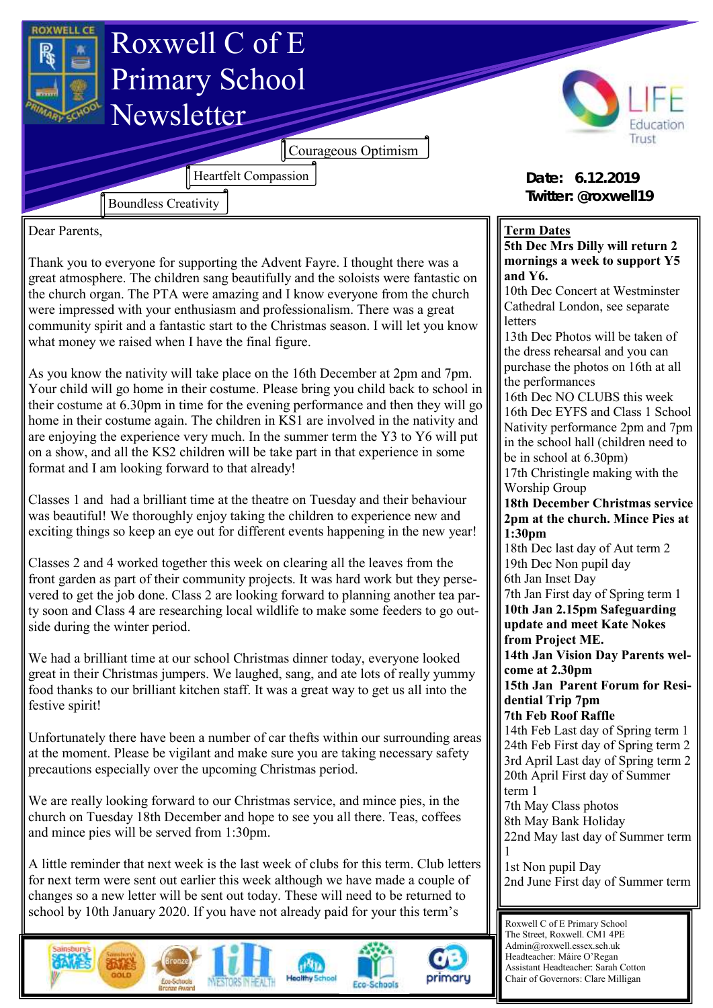

Dear Parents,

Thank you to everyone for supporting the Advent Fayre. I thought there was a great atmosphere. The children sang beautifully and the soloists were fantastic on the church organ. The PTA were amazing and I know everyone from the church were impressed with your enthusiasm and professionalism. There was a great community spirit and a fantastic start to the Christmas season. I will let you know what money we raised when I have the final figure.

As you know the nativity will take place on the 16th December at 2pm and 7pm. Your child will go home in their costume. Please bring you child back to school in their costume at 6.30pm in time for the evening performance and then they will go home in their costume again. The children in KS1 are involved in the nativity and are enjoying the experience very much. In the summer term the Y3 to Y6 will put on a show, and all the KS2 children will be take part in that experience in some format and I am looking forward to that already!

Classes 1 and had a brilliant time at the theatre on Tuesday and their behaviour was beautiful! We thoroughly enjoy taking the children to experience new and exciting things so keep an eye out for different events happening in the new year!

Classes 2 and 4 worked together this week on clearing all the leaves from the front garden as part of their community projects. It was hard work but they persevered to get the job done. Class 2 are looking forward to planning another tea party soon and Class 4 are researching local wildlife to make some feeders to go outside during the winter period.

We had a brilliant time at our school Christmas dinner today, everyone looked great in their Christmas jumpers. We laughed, sang, and ate lots of really yummy food thanks to our brilliant kitchen staff. It was a great way to get us all into the festive spirit!

Unfortunately there have been a number of car thefts within our surrounding areas at the moment. Please be vigilant and make sure you are taking necessary safety precautions especially over the upcoming Christmas period.

We are really looking forward to our Christmas service, and mince pies, in the church on Tuesday 18th December and hope to see you all there. Teas, coffees and mince pies will be served from 1:30pm.

A little reminder that next week is the last week of clubs for this term. Club letters for next term were sent out earlier this week although we have made a couple of changes so a new letter will be sent out today. These will need to be returned to school by 10th January 2020. If you have not already paid for your this term's









**Term Dates 5th Dec Mrs Dilly will return 2 mornings a week to support Y5 and Y6.**

10th Dec Concert at Westminster Cathedral London, see separate letters

13th Dec Photos will be taken of the dress rehearsal and you can purchase the photos on 16th at all the performances

16th Dec NO CLUBS this week 16th Dec EYFS and Class 1 School Nativity performance 2pm and 7pm in the school hall (children need to be in school at 6.30pm) 17th Christingle making with the Worship Group

**18th December Christmas service 2pm at the church. Mince Pies at 1:30pm**

18th Dec last day of Aut term 2 19th Dec Non pupil day 6th Jan Inset Day

7th Jan First day of Spring term 1 **10th Jan 2.15pm Safeguarding update and meet Kate Nokes from Project ME.** 

**14th Jan Vision Day Parents welcome at 2.30pm**

**15th Jan Parent Forum for Residential Trip 7pm**

**7th Feb Roof Raffle**

14th Feb Last day of Spring term 1 24th Feb First day of Spring term 2 3rd April Last day of Spring term 2 20th April First day of Summer term 1 7th May Class photos

8th May Bank Holiday

22nd May last day of Summer term 1

1st Non pupil Day 2nd June First day of Summer term

Roxwell C of E Primary School The Street, Roxwell. CM1 4PE Admin@roxwell.essex.sch.uk Headteacher: Máire O'Regan Assistant Headteacher: Sarah Cotton Chair of Governors: Clare Milligan